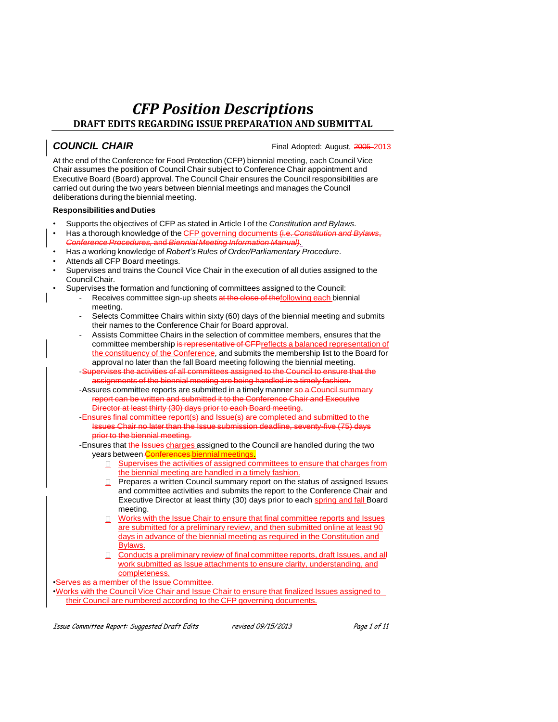**COUNCIL CHAIR COUNCIL CHAIR COUNCIL CHAIR** 

At the end of the Conference for Food Protection (CFP) biennial meeting, each Council Vice Chair assumes the position of Council Chair subject to Conference Chair appointment and Executive Board (Board) approval. The Council Chair ensures the Council responsibilities are carried out during the two years between biennial meetings and manages the Council deliberations during the biennial meeting.

#### **Responsibilities andDuties**

- Supports the objectives of CFP as stated in Article I of the *Constitution and Bylaws*.
- Has a thorough knowledge of the CFP governing documents (i.e. *Constitution and Bylaws*, *Conference Procedures,* and *Biennial Meeting Information Manual).*
- Has a working knowledge of *Robert's Rules of Order/Parliamentary Procedure*.
- Attends all CFP Board meetings.
- Supervises and trains the Council Vice Chair in the execution of all duties assigned to the CouncilChair.
	- Supervises the formation and functioning of committees assigned to the Council:
		- Receives committee sign-up sheets at the close of thefollowing each biennial meeting.
		- Selects Committee Chairs within sixty (60) days of the biennial meeting and submits their names to the Conference Chair for Board approval.
		- Assists Committee Chairs in the selection of committee members, ensures that the committee membership is representative of CFPreflects a balanced representation of the constituency of the Conference, and submits the membership list to the Board for approval no later than the fall Board meeting following the biennial meeting.
		- -Supervises the activities of all committees assigned to the Council to ensure that assignments of the biennial meeting are being handled in a timely fashion.
		- -Assures committee reports are submitted in a timely manner so a Council summary report can be written and submitted it to the Conference Chair and Executive Director at least thirty (30) days prior to each Board meeting.
		- -Ensures final committee report(s) and Issue(s) are completed and submitted to the Issues Chair no later than the Issue submission deadline, seventy-five (75) days prior to the biennial meeting.
		- -Ensures that the Issues charges assigned to the Council are handled during the two years between Conferences biennial meetings.
			- **E** Supervises the activities of assigned committees to ensure that charges from the biennial meeting are handled in a timely fashion.
			- $\Box$  Prepares a written Council summary report on the status of assigned Issues and committee activities and submits the report to the Conference Chair and Executive Director at least thirty (30) days prior to each spring and fall Board meeting.
			- Works with the Issue Chair to ensure that final committee reports and Issues  $\Box$ are submitted for a preliminary review, and then submitted online at least 90 days in advance of the biennial meeting as required in the Constitution and Bylaws.
			- Conducts a preliminary review of final committee reports, draft Issues, and all work submitted as Issue attachments to ensure clarity, understanding, and completeness.

•Serves as a member of the Issue Committee.

•Works with the Council Vice Chair and Issue Chair to ensure that finalized Issues assigned to their Council are numbered according to the CFP governing documents.

Issue Committee Report: Suggested Draft Edits revised 09/15/2013 Page 1 of 11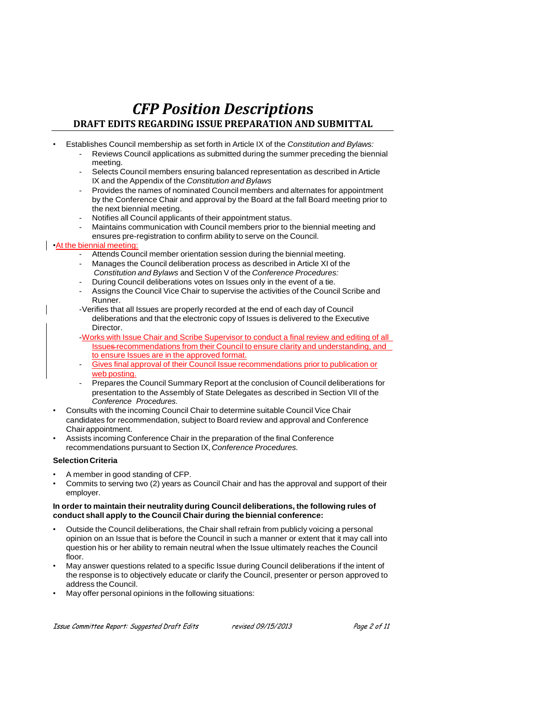- Establishes Council membership as set forth in Article IX of the *Constitution and Bylaws:*
	- Reviews Council applications as submitted during the summer preceding the biennial meeting.
	- Selects Council members ensuring balanced representation as described in Article IX and the Appendix of the *Constitution and Bylaws*
	- Provides the names of nominated Council members and alternates for appointment by the Conference Chair and approval by the Board at the fall Board meeting prior to the next biennial meeting.
	- Notifies all Council applicants of their appointment status.
	- Maintains communication with Council members prior to the biennial meeting and ensures pre-registration to confirm ability to serve on the Council.

### •At the biennial meeting:

- Attends Council member orientation session during the biennial meeting.
- Manages the Council deliberation process as described in Article XI of the *Constitution and Bylaws* and Section V of the *Conference Procedures:*
- During Council deliberations votes on Issues only in the event of a tie.
- Assigns the Council Vice Chair to supervise the activities of the Council Scribe and Runner.
- -Verifies that all Issues are properly recorded at the end of each day of Council deliberations and that the electronic copy of Issues is delivered to the Executive Director.
- -Works with Issue Chair and Scribe Supervisor to conduct a final review and editing of all Issues recommendations from their Council to ensure clarity and understanding, and to ensure Issues are in the approved format.
- Gives final approval of their Council Issue recommendations prior to publication or web posting.
- Prepares the Council Summary Report at the conclusion of Council deliberations for presentation to the Assembly of State Delegates as described in Section VII of the *Conference Procedures.*
- Consults with the incoming Council Chair to determine suitable Council Vice Chair candidates for recommendation, subject to Board review and approval and Conference Chairappointment.
- Assists incoming Conference Chair in the preparation of the final Conference recommendations pursuant to Section IX, *Conference Procedures.*

#### **Selection Criteria**

- A member in good standing of CFP.
- Commits to serving two (2) years as Council Chair and has the approval and support of their employer.

#### **In order to maintain their neutrality during Council deliberations, the following rules of conduct shall apply to the Council Chair during the biennial conference:**

- Outside the Council deliberations, the Chair shall refrain from publicly voicing a personal opinion on an Issue that is before the Council in such a manner or extent that it may call into question his or her ability to remain neutral when the Issue ultimately reaches the Council floor.
- May answer questions related to a specific Issue during Council deliberations if the intent of the response is to objectively educate or clarify the Council, presenter or person approved to address the Council.
- May offer personal opinions in the following situations: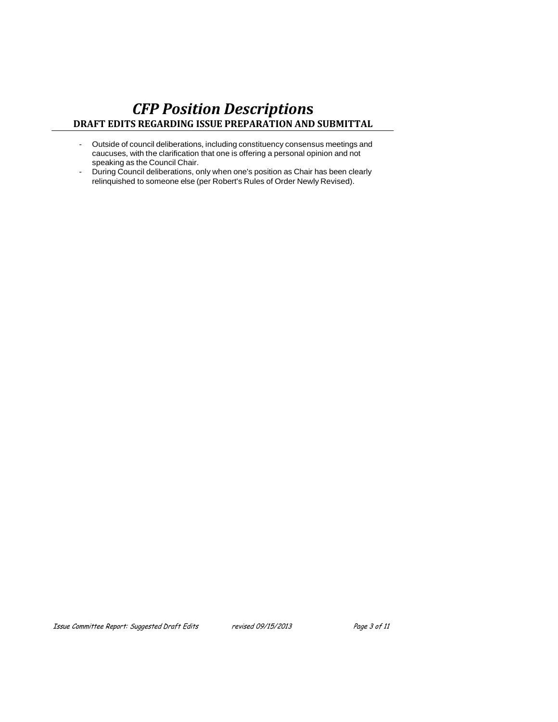- Outside of council deliberations, including constituency consensus meetings and caucuses, with the clarification that one is offering a personal opinion and not speaking as the Council Chair.
- During Council deliberations, only when one's position as Chair has been clearly relinquished to someone else (per Robert's Rules of Order Newly Revised).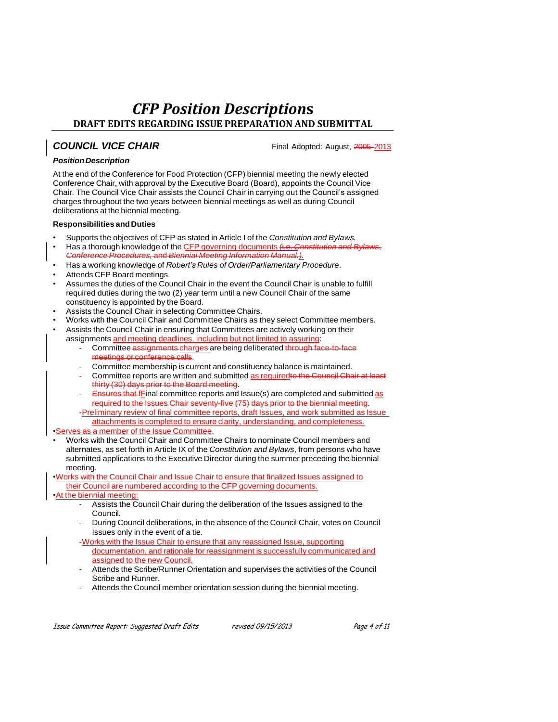## **COUNCIL VICE CHAIR Example 2013** Final Adopted: August, 2005-2013

### *PositionDescription*

At the end of the Conference for Food Protection (CFP) biennial meeting the newly elected Conference Chair, with approval by the Executive Board (Board), appoints the Council Vice Chair. The Council Vice Chair assists the Council Chair in carrying out the Council's assigned charges throughout the two years between biennial meetings as well as during Council deliberations at the biennial meeting.

#### **Responsibilities andDuties**

- Supports the objectives of CFP as stated in Article I of the *Constitution and Bylaws.*
- Has a thorough knowledge of the CFP governing documents (i.e. *Constitution and Bylaws*, *Conference Procedures,* and *Biennial Meeting Information Manual.).*
- Has a working knowledge of *Robert's Rules of Order/Parliamentary Procedure*.
- Attends CFP Board meetings.
- Assumes the duties of the Council Chair in the event the Council Chair is unable to fulfill required duties during the two (2) year term until a new Council Chair of the same constituency is appointed by the Board.
- Assists the Council Chair in selecting Committee Chairs.
- Works with the Council Chair and Committee Chairs as they select Committee members.
- Assists the Council Chair in ensuring that Committees are actively working on their assignments and meeting deadlines, including but not limited to assuring:
	- Committee assignments charges are being deliberated through face meetings or conference calls.
	- Committee membership is current and constituency balance is maintained.
	- Committee reports are written and submitted as requiredto the Council Chair at least thirty (30) days prior to the Board meeting.
	- **Ensures that f**Final committee reports and Issue(s) are completed and submitted  $\overline{as}$ required to the Issues Chair seventy-five (75) days prior to the biennial meeting. -Preliminary review of final committee reports, draft Issues, and work submitted as Issue attachments is completed to ensure clarity, understanding, and completeness.

•Serves as a member of the Issue Committee.

• Works with the Council Chair and Committee Chairs to nominate Council members and alternates, as set forth in Article IX of the *Constitution and Bylaws*, from persons who have submitted applications to the Executive Director during the summer preceding the biennial meeting.

•Works with the Council Chair and Issue Chair to ensure that finalized Issues assigned to their Council are numbered according to the CFP governing documents.

#### •At the biennial meeting:

- Assists the Council Chair during the deliberation of the Issues assigned to the Council.
- During Council deliberations, in the absence of the Council Chair, votes on Council Issues only in the event of a tie.
- -Works with the Issue Chair to ensure that any reassigned Issue, supporting documentation, and rationale for reassignment is successfully communicated and assigned to the new Council.
- Attends the Scribe/Runner Orientation and supervises the activities of the Council Scribe and Runner.
- Attends the Council member orientation session during the biennial meeting.

Issue Committee Report: Suggested Draft Edits revised 09/15/2013 Page 4 of 11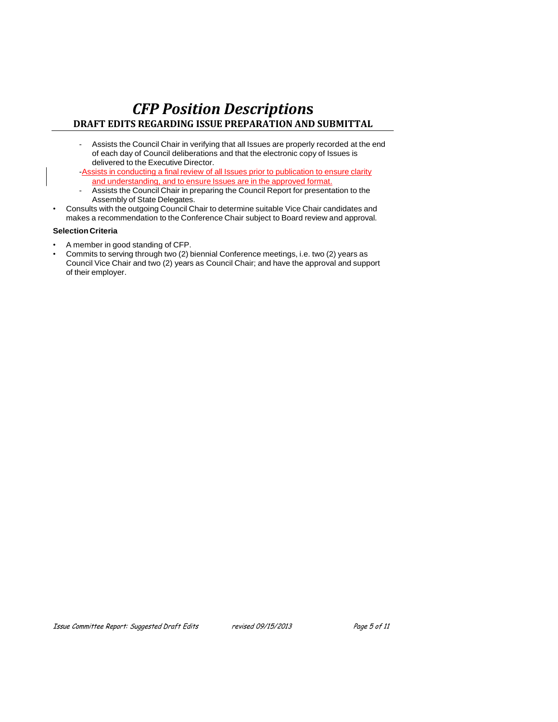- Assists the Council Chair in verifying that all Issues are properly recorded at the end of each day of Council deliberations and that the electronic copy of Issues is delivered to the Executive Director.
- -Assists in conducting a final review of all Issues prior to publication to ensure clarity and understanding, and to ensure Issues are in the approved format.
- Assists the Council Chair in preparing the Council Report for presentation to the Assembly of State Delegates.
- Consults with the outgoing Council Chair to determine suitable Vice Chair candidates and makes a recommendation to the Conference Chair subject to Board review and approval.

#### **Selection Criteria**

- A member in good standing of CFP.
- Commits to serving through two (2) biennial Conference meetings, i.e. two (2) years as Council Vice Chair and two (2) years as Council Chair; and have the approval and support of their employer.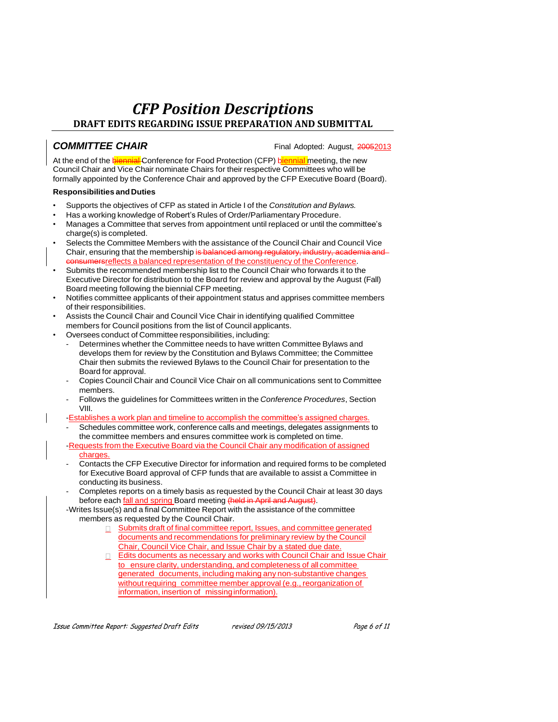**COMMITTEE CHAIR COMMITTEE** CHAIR

At the end of the biennial Conference for Food Protection (CFP) biennial meeting, the new Council Chair and Vice Chair nominate Chairs for their respective Committees who will be formally appointed by the Conference Chair and approved by the CFP Executive Board (Board).

#### **Responsibilities andDuties**

- Supports the objectives of CFP as stated in Article I of the *Constitution and Bylaws.*
- Has a working knowledge of Robert's Rules of Order/Parliamentary Procedure.
- Manages a Committee that serves from appointment until replaced or until the committee's charge(s) is completed.
- Selects the Committee Members with the assistance of the Council Chair and Council Vice Chair, ensuring that the membership is balanced among regulatory, industry, academia and **Example 2 are set of the constituency of the Conference.**
- Submits the recommended membership list to the Council Chair who forwards it to the Executive Director for distribution to the Board for review and approval by the August (Fall) Board meeting following the biennial CFP meeting.
- Notifies committee applicants of their appointment status and apprises committee members of their responsibilities.
- Assists the Council Chair and Council Vice Chair in identifying qualified Committee members for Council positions from the list of Council applicants.
- Oversees conduct of Committee responsibilities, including:
	- Determines whether the Committee needs to have written Committee Bylaws and develops them for review by the Constitution and Bylaws Committee; the Committee Chair then submits the reviewed Bylaws to the Council Chair for presentation to the Board for approval.
	- Copies Council Chair and Council Vice Chair on all communications sent to Committee members.
	- Follows the guidelines for Committees written in the *Conference Procedures*, Section VIII.

-Establishes a work plan and timeline to accomplish the committee's assigned charges.

- Schedules committee work, conference calls and meetings, delegates assignments to the committee members and ensures committee work is completed on time.
- -Requests from the Executive Board via the Council Chair any modification of assigned charges.
- Contacts the CFP Executive Director for information and required forms to be completed for Executive Board approval of CFP funds that are available to assist a Committee in conducting its business.
- Completes reports on a timely basis as requested by the Council Chair at least 30 days before each fall and spring Board meeting (held in April and August).
- -Writes Issue(s) and a final Committee Report with the assistance of the committee members as requested by the Council Chair.
	- **B** Submits draft of final committee report, Issues, and committee generated documents and recommendations for preliminary review by the Council Chair, Council Vice Chair, and Issue Chair by a stated due date.
	- Edits documents as necessary and works with Council Chair and Issue Chair to ensure clarity, understanding, and completeness of all committee generated documents, including making any non-substantive changes without requiring committee member approval (e.g., reorganization of information, insertion of missinginformation).

Issue Committee Report: Suggested Draft Edits revised 09/15/2013 Page 6 of 11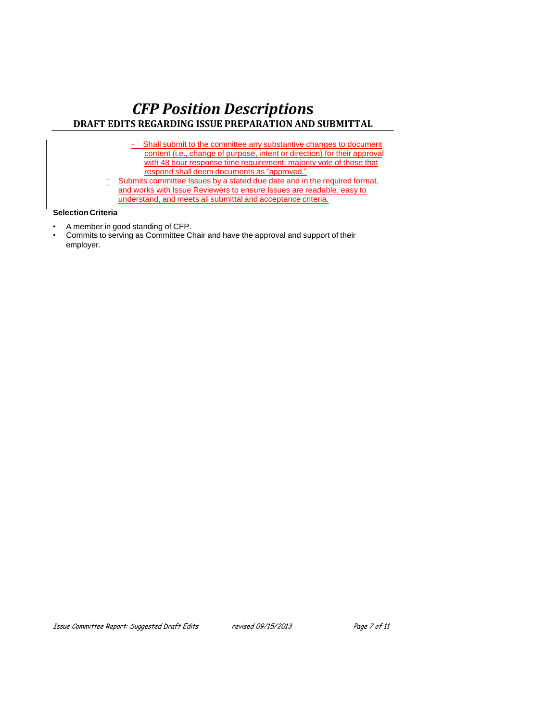- Shall submit to the committee any substantive changes to document content (i.e., change of purpose, intent or direction) for their approval with 48 hour response time requirement; majority vote of those that respond shall deem documents as "approved."
- $\Box$  Submits committee Issues by a stated due date and in the required format, and works with Issue Reviewers to ensure Issues are readable, easy to understand, and meets all submittal and acceptance criteria.

## **Selection Criteria**

- A member in good standing of CFP.
- Commits to serving as Committee Chair and have the approval and support of their employer.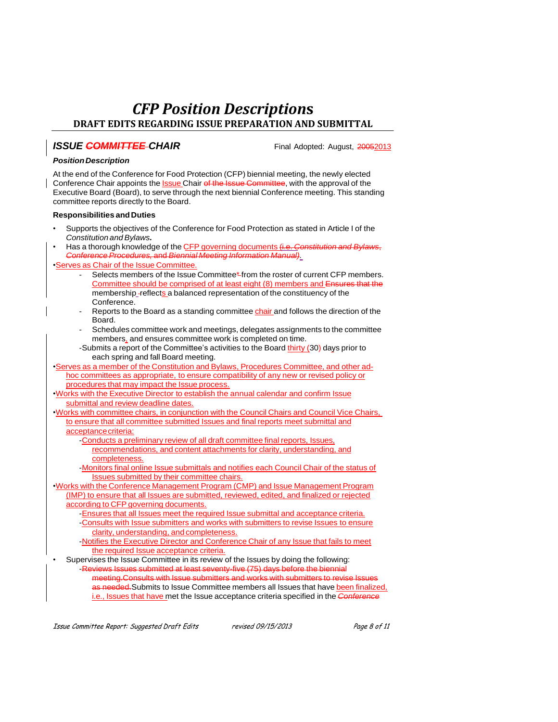## **ISSUE COMMITTEE** CHAIR

#### *PositionDescription*

At the end of the Conference for Food Protection (CFP) biennial meeting, the newly elected Conference Chair appoints the Issue Chair of the Issue Committee, with the approval of the Executive Board (Board), to serve through the next biennial Conference meeting. This standing committee reports directly to the Board.

#### **Responsibilities andDuties**

- Supports the objectives of the Conference for Food Protection as stated in Article I of the *Constitution and Bylaws.*
- Has a thorough knowledge of the CFP governing documents (i.e. *Constitution and Bylaws*, *Conference Procedures,* and *Biennial Meeting Information Manual).*

#### •Serves as Chair of the Issue Committee.

- Selects members of the Issue Committee\* from the roster of current CFP members. Committee should be comprised of at least eight (8) members and Ensures that the membership reflects a balanced representation of the constituency of the Conference.
- Reports to the Board as a standing committee chair and follows the direction of the Board.
- Schedules committee work and meetings, delegates assignments to the committee members, and ensures committee work is completed on time.
- -Submits a report of the Committee's activities to the Board thirty (30) days prior to each spring and fall Board meeting.
- •Serves as a member of the Constitution and Bylaws, Procedures Committee, and other adhoc committees as appropriate, to ensure compatibility of any new or revised policy or procedures that may impact the Issue process.
- •Works with the Executive Director to establish the annual calendar and confirm Issue submittal and review deadline dates.
- •Works with committee chairs, in conjunction with the Council Chairs and Council Vice Chairs, to ensure that all committee submitted Issues and final reports meet submittal and acceptancecriteria:
	- -Conducts a preliminary review of all draft committee final reports, Issues, recommendations, and content attachments for clarity, understanding, and completeness.
	- -Monitors final online Issue submittals and notifies each Council Chair of the status of Issues submitted by their committee chairs.
- •Works with the Conference Management Program (CMP) and Issue Management Program (IMP) to ensure that all Issues are submitted, reviewed, edited, and finalized or rejected according to CFP governing documents.
	- -Ensures that all Issues meet the required Issue submittal and acceptance criteria.
	- -Consults with Issue submitters and works with submitters to revise Issues to ensure clarity, understanding, and completeness.
	- -Notifies the Executive Director and Conference Chair of any Issue that fails to meet the required Issue acceptance criteria.
- Supervises the Issue Committee in its review of the Issues by doing the following: -Reviews Issues submitted at least seventy-five (75) days before the biennial meeting.Consults with Issue submitters and works with submitters to revise as needed. Submits to Issue Committee members all Issues that have been finalized, i.e., Issues that have met the Issue acceptance criteria specified in the *Conference*

Issue Committee Report: Suggested Draft Edits revised 09/15/2013 Page 8 of 11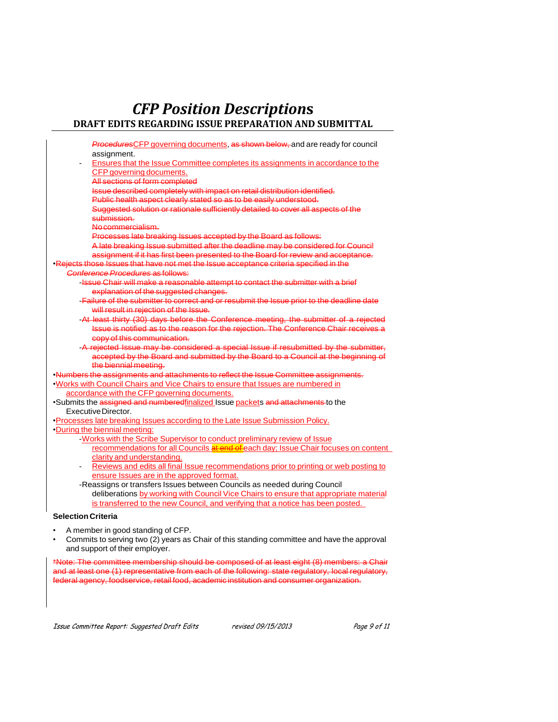| ProceduresCFP governing documents, as shown below, and are ready for council                                                                         |
|------------------------------------------------------------------------------------------------------------------------------------------------------|
| assignment.                                                                                                                                          |
| Ensures that the Issue Committee completes its assignments in accordance to the                                                                      |
| CFP governing documents.                                                                                                                             |
| All sections of form completed                                                                                                                       |
| Issue described completely with impact on retail distribution identified.                                                                            |
| Public health aspect clearly stated so as to be easily understood.                                                                                   |
| Suggested solution or rationale sufficiently detailed to cover all aspects of the<br>submission.                                                     |
| No commercialism.                                                                                                                                    |
|                                                                                                                                                      |
| Processes late breaking Issues accepted by the Board as follows:<br>A late breaking Issue submitted after the deadline may be considered for Council |
|                                                                                                                                                      |
| assignment if it has first been presented to the Board for review and acceptance.                                                                    |
| Rejects those Issues that have not met the Issue acceptance criteria specified in the                                                                |
| Conference Procedures as follows:                                                                                                                    |
| -Issue Chair will make a reasonable attempt to contact the submitter with a brief                                                                    |
| explanation of the suggested changes.                                                                                                                |
| -Failure of the submitter to correct and or resubmit the Issue prior to the deadline date                                                            |
| will result in rejection of the Issue.                                                                                                               |
| -At least thirty (30) days before the Conference meeting, the submitter of a rejected                                                                |
| Issue is notified as to the reason for the rejection. The Conference Chair receives a                                                                |
| copy of this communication.                                                                                                                          |
| -A rejected Issue may be considered a special Issue if resubmitted by the submitter.                                                                 |
| accepted by the Board and submitted by the Board to a Council at the beginning of                                                                    |
| the biennial meeting.                                                                                                                                |
| Numbers the assignments and attachments to reflect the Issue Committee assignments.                                                                  |
| Works with Council Chairs and Vice Chairs to ensure that Issues are numbered in                                                                      |
| accordance with the CFP governing documents.                                                                                                         |
| ·Submits the assigned and numberedfinalized Issue packets and attachments to the                                                                     |
| Executive Director.                                                                                                                                  |
| •Processes late breaking Issues according to the Late Issue Submission Policy.                                                                       |
| During the biennial meeting:                                                                                                                         |
| -Works with the Scribe Supervisor to conduct preliminary review of Issue                                                                             |
| recommendations for all Councils at end of each day; Issue Chair focuses on content                                                                  |
| clarity and understanding.                                                                                                                           |
| Reviews and edits all final Issue recommendations prior to printing or web posting to<br>$\overline{\phantom{a}}$                                    |
| ensure Issues are in the approved format.                                                                                                            |
| -Reassigns or transfers Issues between Councils as needed during Council                                                                             |
| deliberations by working with Council Vice Chairs to ensure that appropriate material                                                                |
| is transferred to the new Council, and verifying that a notice has been posted.                                                                      |
|                                                                                                                                                      |
| <b>Selection Criteria</b>                                                                                                                            |
| A member in good standing of CFP.                                                                                                                    |

• Commits to serving two (2) years as Chair of this standing committee and have the approval and support of their employer.

\*Note: The committee membership should be composed of at least eight (8) members: a Chair and at least one (1) representative from each of the following: state regulatory, local regulatory, federal agency, foodservice, retail food, academic institution and consumer organization.

Issue Committee Report: Suggested Draft Edits revised 09/15/2013 Page 9 of 11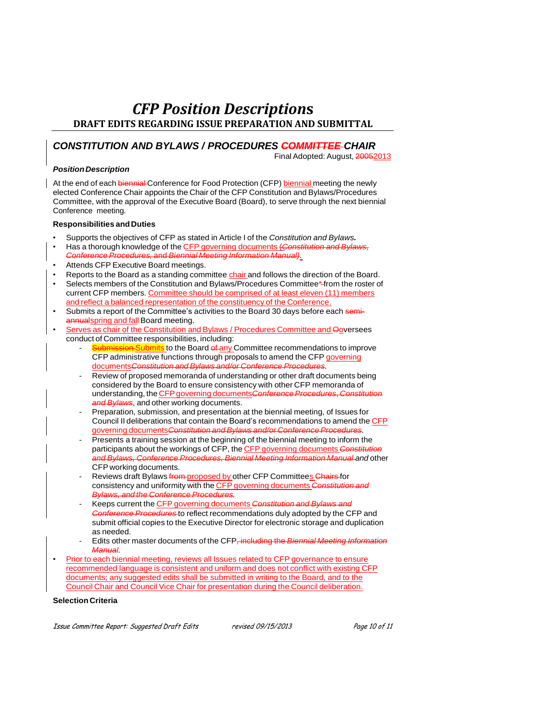## *CONSTITUTION AND BYLAWS / PROCEDURES COMMITTEE CHAIR*

Final Adopted: August, 20052013

#### *PositionDescription*

At the end of each biennial Conference for Food Protection (CFP) biennial meeting the newly elected Conference Chair appoints the Chair of the CFP Constitution and Bylaws/Procedures Committee, with the approval of the Executive Board (Board), to serve through the next biennial Conference meeting.

#### **Responsibilities andDuties**

- Supports the objectives of CFP as stated in Article I of the *Constitution and Bylaws.*
- Has a thorough knowledge of the CFP governing documents (*Constitution and Bylaws*, *Conference Procedures,* and *Biennial Meeting Information Manual).*
- Attends CFP Executive Board meetings.
- Reports to the Board as a standing committee chair and follows the direction of the Board.
- Selects members of the Constitution and Bylaws/Procedures Committee\* from the roster of current CFP members. Committee should be comprised of at least eleven (11) members and reflect a balanced representation of the constituency of the Conference.
- Submits a report of the Committee's activities to the Board 30 days before each semiannualspring and fall Board meeting.
- Serves as chair of the Constitution and Bylaws / Procedures Committee and Ooversees conduct of Committee responsibilities, including:
	- Submission-Submits to the Board of any Committee recommendations to improve CFP administrative functions through proposals to amend the CFP governing documents*Constitution and Bylaws and/or Conference Procedures.*
	- Review of proposed memoranda of understanding or other draft documents being considered by the Board to ensure consistency with other CFP memoranda of understanding, the CFPgoverning documents*ConferenceProcedures*, *Constitution and Bylaws*, and other working documents.
	- Preparation, submission, and presentation at the biennial meeting, of Issues for Council II deliberations that contain the Board's recommendations to amend the CFP governing documents*Constitution and Bylaws and/or Conference Procedures.*
	- Presents a training session at the beginning of the biennial meeting to inform the participants about the workings of CFP, the CFP governing documents *Constitution and Bylaws, Conference Procedures, Biennial Meeting Information Manual and* other CFPworking documents.
	- Reviews draft Bylaws from proposed by other CFP Committees Chairs for consistency and uniformity with the CFP governing documents *Constitution and Bylaws, and the Conference Procedures.*
	- Keeps current the CFP governing documents *Constitution and Bylaws and Conference Procedures* to reflect recommendations duly adopted by the CFP and submit official copies to the Executive Director for electronic storage and duplication as needed.
	- Edits other master documents of the CFP, including the *Biennial Meeting Information Manual.*
- Prior to each biennial meeting, reviews all Issues related to CFP governance to ensure recommended language is consistent and uniform and does not conflict with existing CFP documents; any suggested edits shall be submitted in writing to the Board, and to the Council Chair and Council Vice Chair for presentation during the Council deliberation.

#### **Selection Criteria**

Issue Committee Report: Suggested Draft Edits revised 09/15/2013 Page 10 of 11